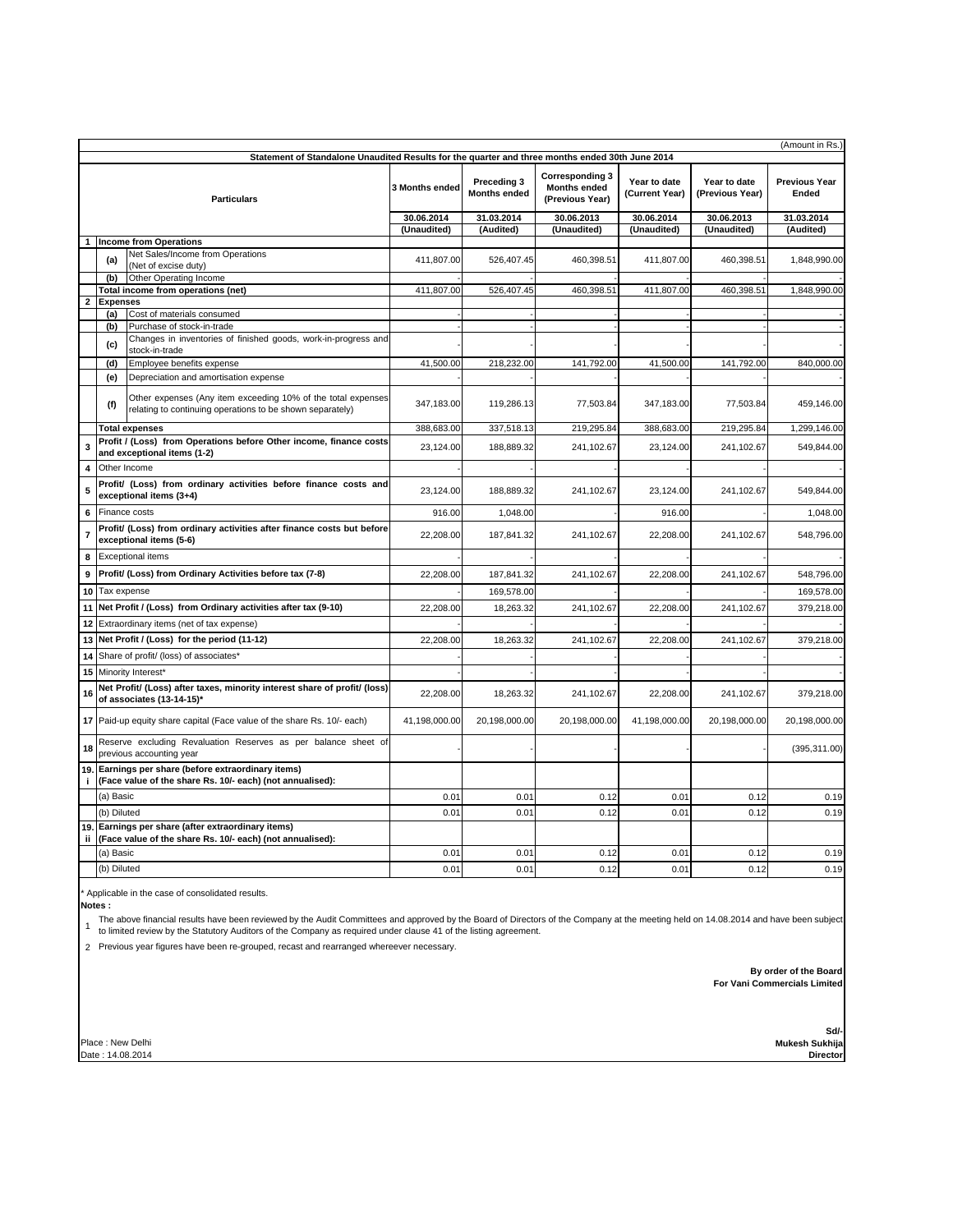| (Amount in Rs.)                                                                                 |                                                          |                                                                                                                           |                |                                    |                                                                  |                                |                                 |                               |  |  |  |  |
|-------------------------------------------------------------------------------------------------|----------------------------------------------------------|---------------------------------------------------------------------------------------------------------------------------|----------------|------------------------------------|------------------------------------------------------------------|--------------------------------|---------------------------------|-------------------------------|--|--|--|--|
| Statement of Standalone Unaudited Results for the quarter and three months ended 30th June 2014 |                                                          |                                                                                                                           |                |                                    |                                                                  |                                |                                 |                               |  |  |  |  |
| <b>Particulars</b>                                                                              |                                                          |                                                                                                                           | 3 Months ended | Preceding 3<br><b>Months ended</b> | <b>Corresponding 3</b><br><b>Months ended</b><br>(Previous Year) | Year to date<br>(Current Year) | Year to date<br>(Previous Year) | <b>Previous Year</b><br>Ended |  |  |  |  |
|                                                                                                 |                                                          |                                                                                                                           | 30.06.2014     | 31.03.2014                         | 30.06.2013                                                       | 30.06.2014                     | 30.06.2013                      | 31.03.2014                    |  |  |  |  |
|                                                                                                 |                                                          |                                                                                                                           | (Unaudited)    | (Audited)                          | (Unaudited)                                                      | (Unaudited)                    | (Unaudited)                     | (Audited)                     |  |  |  |  |
|                                                                                                 |                                                          | <b>Income from Operations</b><br>Net Sales/Income from Operations                                                         |                |                                    |                                                                  |                                |                                 |                               |  |  |  |  |
|                                                                                                 | (a)                                                      | (Net of excise duty)                                                                                                      | 411,807.00     | 526,407.45                         | 460,398.51                                                       | 411,807.00                     | 460,398.51                      | 1,848,990.00                  |  |  |  |  |
|                                                                                                 | (b)                                                      | Other Operating Income                                                                                                    | 411,807.00     |                                    |                                                                  |                                |                                 |                               |  |  |  |  |
| $\mathbf 2$                                                                                     |                                                          | Total income from operations (net)<br><b>Expenses</b>                                                                     |                | 526,407.45                         | 460,398.51                                                       | 411,807.00                     | 460,398.51                      | 1,848,990.00                  |  |  |  |  |
|                                                                                                 | (a)                                                      | Cost of materials consumed                                                                                                |                |                                    |                                                                  |                                |                                 |                               |  |  |  |  |
|                                                                                                 | (b)                                                      | Purchase of stock-in-trade                                                                                                |                |                                    |                                                                  |                                |                                 |                               |  |  |  |  |
|                                                                                                 | (c)                                                      | Changes in inventories of finished goods, work-in-progress and<br>stock-in-trade                                          |                |                                    |                                                                  |                                |                                 |                               |  |  |  |  |
|                                                                                                 | (d)                                                      | Employee benefits expense                                                                                                 | 41,500.00      | 218,232.00                         | 141,792.00                                                       | 41,500.00                      | 141,792.00                      | 840,000.00                    |  |  |  |  |
|                                                                                                 | (e)                                                      | Depreciation and amortisation expense                                                                                     |                |                                    |                                                                  |                                |                                 |                               |  |  |  |  |
|                                                                                                 | (f)                                                      | Other expenses (Any item exceeding 10% of the total expenses<br>relating to continuing operations to be shown separately) | 347,183.00     | 119,286.13                         | 77,503.84                                                        | 347,183.00                     | 77,503.84                       | 459,146.00                    |  |  |  |  |
|                                                                                                 |                                                          | <b>Total expenses</b>                                                                                                     | 388,683.00     | 337,518.13                         | 219,295.84                                                       | 388,683.00                     | 219,295.84                      | 1,299,146.00                  |  |  |  |  |
| 3                                                                                               |                                                          | Profit / (Loss) from Operations before Other income, finance costs<br>and exceptional items (1-2)                         | 23,124.00      | 188,889.32                         | 241,102.67                                                       | 23,124.00                      | 241,102.67                      | 549,844.00                    |  |  |  |  |
| 4                                                                                               | Other Income                                             |                                                                                                                           |                |                                    |                                                                  |                                |                                 |                               |  |  |  |  |
| 5                                                                                               |                                                          | Profit/ (Loss) from ordinary activities before finance costs and<br>exceptional items (3+4)                               |                | 188,889.32                         | 241,102.67                                                       | 23,124.00                      | 241,102.67                      | 549,844.00                    |  |  |  |  |
| 6                                                                                               |                                                          | Finance costs                                                                                                             |                | 1,048.00                           |                                                                  | 916.00                         |                                 | 1,048.00                      |  |  |  |  |
| $\overline{7}$                                                                                  |                                                          | Profit/ (Loss) from ordinary activities after finance costs but before                                                    |                | 187,841.32                         | 241,102.67                                                       | 22,208.00                      | 241,102.67                      | 548,796.00                    |  |  |  |  |
|                                                                                                 |                                                          | exceptional items (5-6)                                                                                                   |                |                                    |                                                                  |                                |                                 |                               |  |  |  |  |
| 8                                                                                               | <b>Exceptional items</b>                                 |                                                                                                                           |                |                                    |                                                                  |                                |                                 |                               |  |  |  |  |
| 9                                                                                               | Profit/ (Loss) from Ordinary Activities before tax (7-8) |                                                                                                                           | 22,208.00      | 187,841.32                         | 241,102.67                                                       | 22,208.00                      | 241,102.67                      | 548,796.00                    |  |  |  |  |
|                                                                                                 |                                                          | 10 Tax expense                                                                                                            |                | 169,578.00                         |                                                                  |                                |                                 | 169,578.00                    |  |  |  |  |
| 11                                                                                              |                                                          | Net Profit / (Loss) from Ordinary activities after tax (9-10)                                                             | 22.208.00      | 18,263.32                          | 241.102.67                                                       | 22,208.00                      | 241,102.67                      | 379,218.00                    |  |  |  |  |
| 12                                                                                              |                                                          | Extraordinary items (net of tax expense)                                                                                  |                |                                    |                                                                  |                                |                                 |                               |  |  |  |  |
| 13                                                                                              |                                                          | Net Profit / (Loss) for the period (11-12)                                                                                | 22,208.00      | 18,263.32                          | 241,102.67                                                       | 22,208.00                      | 241,102.67                      | 379,218.00                    |  |  |  |  |
| 14                                                                                              |                                                          | Share of profit/ (loss) of associates*                                                                                    |                |                                    |                                                                  |                                |                                 |                               |  |  |  |  |
| 15                                                                                              |                                                          | Minority Interest*                                                                                                        |                |                                    |                                                                  |                                |                                 |                               |  |  |  |  |
| 16                                                                                              |                                                          | Net Profit/ (Loss) after taxes, minority interest share of profit/ (loss)<br>of associates (13-14-15)*                    | 22,208.00      | 18,263.32                          | 241,102.67                                                       | 22,208.00                      | 241,102.67                      | 379,218.00                    |  |  |  |  |
|                                                                                                 |                                                          | 17 Paid-up equity share capital (Face value of the share Rs. 10/- each)                                                   | 41,198,000.00  | 20,198,000.00                      | 20,198,000.00                                                    | 41,198,000.00                  | 20,198,000.00                   | 20,198,000.00                 |  |  |  |  |
| 18                                                                                              |                                                          | Reserve excluding Revaluation Reserves as per balance sheet of<br>previous accounting year                                |                |                                    |                                                                  |                                |                                 | (395, 311.00)                 |  |  |  |  |
| j.                                                                                              |                                                          | 19. Earnings per share (before extraordinary items)<br>(Face value of the share Rs. 10/- each) (not annualised):          |                |                                    |                                                                  |                                |                                 |                               |  |  |  |  |
|                                                                                                 | (a) Basic                                                |                                                                                                                           | 0.01           | 0.01                               | 0.12                                                             | 0.01                           | 0.12                            | 0.19                          |  |  |  |  |
|                                                                                                 | (b) Diluted                                              |                                                                                                                           | 0.01           | 0.01                               | 0.12                                                             | 0.01                           | 0.12                            | 0.19                          |  |  |  |  |
|                                                                                                 |                                                          | 19. Earnings per share (after extraordinary items)                                                                        |                |                                    |                                                                  |                                |                                 |                               |  |  |  |  |
|                                                                                                 |                                                          | ii (Face value of the share Rs. 10/- each) (not annualised):                                                              |                |                                    |                                                                  |                                |                                 |                               |  |  |  |  |
|                                                                                                 | (a) Basic                                                |                                                                                                                           | 0.01           | 0.01                               | 0.12                                                             | 0.01                           | 0.12                            | 0.19                          |  |  |  |  |
|                                                                                                 | (b) Diluted                                              |                                                                                                                           | 0.01           | 0.01                               | 0.12                                                             | 0.01                           | 0.12                            | 0.19                          |  |  |  |  |

\* Applicable in the case of consolidated results.

**Notes :**

The above financial results have been reviewed by the Audit Committees and approved by the Board of Directors of the Company at the meeting held on 14.08.2014 and have been subject<br>1 to limited review by the Statutory Audi

2 Previous year figures have been re-grouped, recast and rearranged whereever necessary.

 **By order of the Board For Vani Commercials Limited**

Place : New Delhi Date : 14.08.2014

**Sd/- Mukesh Sukhija Director**